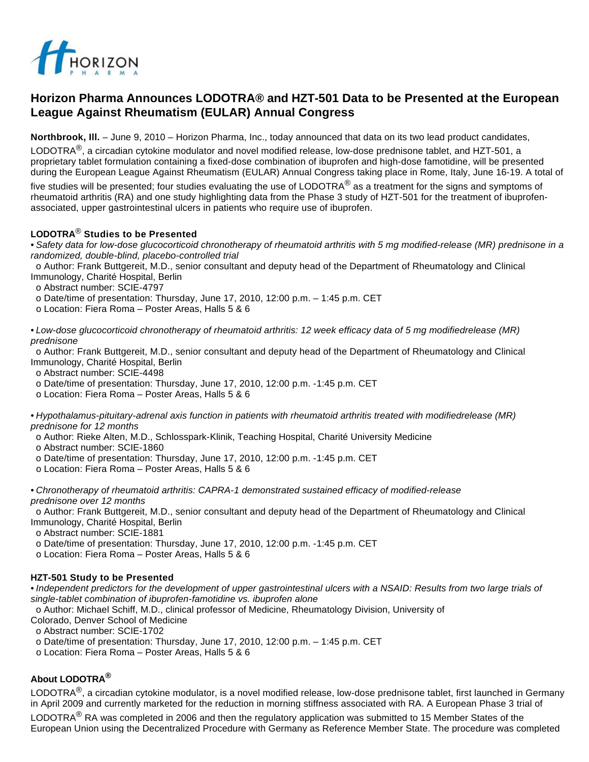

# **Horizon Pharma Announces LODOTRA® and HZT-501 Data to be Presented at the European League Against Rheumatism (EULAR) Annual Congress**

**Northbrook, Ill.** – June 9, 2010 – Horizon Pharma, Inc., today announced that data on its two lead product candidates,

LODOTRA<sup>®</sup>, a circadian cytokine modulator and novel modified release, low-dose prednisone tablet, and HZT-501, a proprietary tablet formulation containing a fixed-dose combination of ibuprofen and high-dose famotidine, will be presented during the European League Against Rheumatism (EULAR) Annual Congress taking place in Rome, Italy, June 16-19. A total of

five studies will be presented; four studies evaluating the use of LODOTRA<sup>®</sup> as a treatment for the signs and symptoms of rheumatoid arthritis (RA) and one study highlighting data from the Phase 3 study of HZT-501 for the treatment of ibuprofenassociated, upper gastrointestinal ulcers in patients who require use of ibuprofen.

## **LODOTRA**® **Studies to be Presented**

• Safety data for low-dose glucocorticoid chronotherapy of rheumatoid arthritis with 5 mg modified-release (MR) prednisone in a randomized, double-blind, placebo-controlled trial

 o Author: Frank Buttgereit, M.D., senior consultant and deputy head of the Department of Rheumatology and Clinical Immunology, Charité Hospital, Berlin

o Abstract number: SCIE-4797

o Date/time of presentation: Thursday, June 17, 2010, 12:00 p.m. – 1:45 p.m. CET

o Location: Fiera Roma – Poster Areas, Halls 5 & 6

• Low-dose glucocorticoid chronotherapy of rheumatoid arthritis: 12 week efficacy data of 5 mg modifiedrelease (MR) prednisone

 o Author: Frank Buttgereit, M.D., senior consultant and deputy head of the Department of Rheumatology and Clinical Immunology, Charité Hospital, Berlin

o Abstract number: SCIE-4498

o Date/time of presentation: Thursday, June 17, 2010, 12:00 p.m. -1:45 p.m. CET

o Location: Fiera Roma – Poster Areas, Halls 5 & 6

• Hypothalamus-pituitary-adrenal axis function in patients with rheumatoid arthritis treated with modifiedrelease (MR) prednisone for 12 months

o Author: Rieke Alten, M.D., Schlosspark-Klinik, Teaching Hospital, Charité University Medicine

o Abstract number: SCIE-1860

o Date/time of presentation: Thursday, June 17, 2010, 12:00 p.m. -1:45 p.m. CET

o Location: Fiera Roma – Poster Areas, Halls 5 & 6

• Chronotherapy of rheumatoid arthritis: CAPRA-1 demonstrated sustained efficacy of modified-release prednisone over 12 months

 o Author: Frank Buttgereit, M.D., senior consultant and deputy head of the Department of Rheumatology and Clinical Immunology, Charité Hospital, Berlin

o Abstract number: SCIE-1881

o Date/time of presentation: Thursday, June 17, 2010, 12:00 p.m. -1:45 p.m. CET

o Location: Fiera Roma – Poster Areas, Halls 5 & 6

## **HZT-501 Study to be Presented**

• Independent predictors for the development of upper gastrointestinal ulcers with a NSAID: Results from two large trials of single-tablet combination of ibuprofen-famotidine vs. ibuprofen alone

 o Author: Michael Schiff, M.D., clinical professor of Medicine, Rheumatology Division, University of Colorado, Denver School of Medicine

o Abstract number: SCIE-1702

o Date/time of presentation: Thursday, June 17, 2010, 12:00 p.m. – 1:45 p.m. CET

o Location: Fiera Roma – Poster Areas, Halls 5 & 6

## **About LODOTRA®**

LODOTRA $^{\circledR}$ , a circadian cytokine modulator, is a novel modified release, low-dose prednisone tablet, first launched in Germany in April 2009 and currently marketed for the reduction in morning stiffness associated with RA. A European Phase 3 trial of

LODOTRA<sup>®</sup> RA was completed in 2006 and then the regulatory application was submitted to 15 Member States of the European Union using the Decentralized Procedure with Germany as Reference Member State. The procedure was completed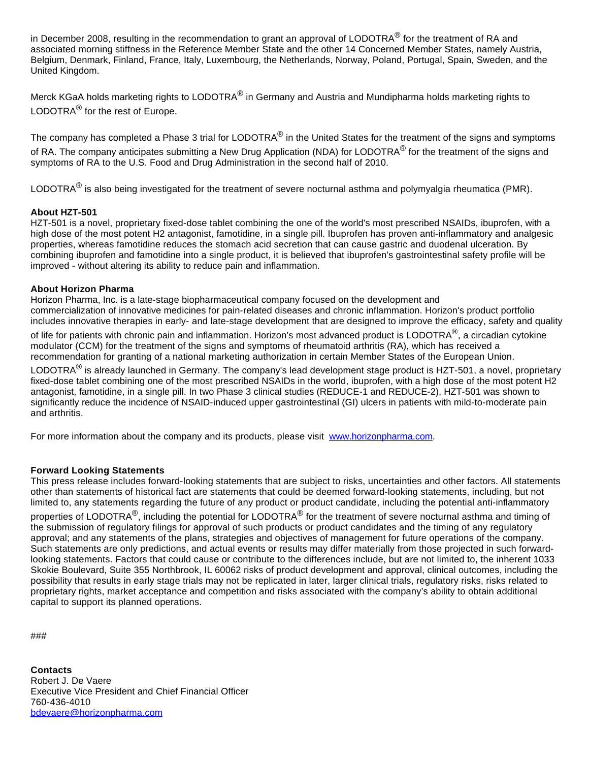in December 2008, resulting in the recommendation to grant an approval of LODOTRA<sup>®</sup> for the treatment of RA and associated morning stiffness in the Reference Member State and the other 14 Concerned Member States, namely Austria, Belgium, Denmark, Finland, France, Italy, Luxembourg, the Netherlands, Norway, Poland, Portugal, Spain, Sweden, and the United Kingdom.

Merck KGaA holds marketing rights to LODOTRA<sup>®</sup> in Germany and Austria and Mundipharma holds marketing rights to LODOTRA<sup>®</sup> for the rest of Europe.

The company has completed a Phase 3 trial for LODOTRA<sup>®</sup> in the United States for the treatment of the signs and symptoms of RA. The company anticipates submitting a New Drug Application (NDA) for LODOTRA<sup>®</sup> for the treatment of the signs and symptoms of RA to the U.S. Food and Drug Administration in the second half of 2010.

LODOTRA<sup>®</sup> is also being investigated for the treatment of severe nocturnal asthma and polymyalgia rheumatica (PMR).

## **About HZT-501**

HZT-501 is a novel, proprietary fixed-dose tablet combining the one of the world's most prescribed NSAIDs, ibuprofen, with a high dose of the most potent H2 antagonist, famotidine, in a single pill. Ibuprofen has proven anti-inflammatory and analgesic properties, whereas famotidine reduces the stomach acid secretion that can cause gastric and duodenal ulceration. By combining ibuprofen and famotidine into a single product, it is believed that ibuprofen's gastrointestinal safety profile will be improved - without altering its ability to reduce pain and inflammation.

#### **About Horizon Pharma**

Horizon Pharma, Inc. is a late-stage biopharmaceutical company focused on the development and commercialization of innovative medicines for pain-related diseases and chronic inflammation. Horizon's product portfolio includes innovative therapies in early- and late-stage development that are designed to improve the efficacy, safety and quality

of life for patients with chronic pain and inflammation. Horizon's most advanced product is LODOTRA<sup>®</sup>, a circadian cytokine modulator (CCM) for the treatment of the signs and symptoms of rheumatoid arthritis (RA), which has received a recommendation for granting of a national marketing authorization in certain Member States of the European Union.

LODOTRA<sup>®</sup> is already launched in Germany. The company's lead development stage product is HZT-501, a novel, proprietary fixed-dose tablet combining one of the most prescribed NSAIDs in the world, ibuprofen, with a high dose of the most potent H2 antagonist, famotidine, in a single pill. In two Phase 3 clinical studies (REDUCE-1 and REDUCE-2), HZT-501 was shown to significantly reduce the incidence of NSAID-induced upper gastrointestinal (GI) ulcers in patients with mild-to-moderate pain and arthritis.

For more information about the company and its products, please visit [www.horizonpharma.com.](http://www.horizonpharma.com/)

#### **Forward Looking Statements**

This press release includes forward-looking statements that are subject to risks, uncertainties and other factors. All statements other than statements of historical fact are statements that could be deemed forward-looking statements, including, but not limited to, any statements regarding the future of any product or product candidate, including the potential anti-inflammatory properties of LODOTRA<sup>®</sup>, including the potential for LODOTRA<sup>®</sup> for the treatment of severe nocturnal asthma and timing of the submission of regulatory filings for approval of such products or product candidates and the timing of any regulatory approval; and any statements of the plans, strategies and objectives of management for future operations of the company. Such statements are only predictions, and actual events or results may differ materially from those projected in such forwardlooking statements. Factors that could cause or contribute to the differences include, but are not limited to, the inherent 1033 Skokie Boulevard, Suite 355 Northbrook, IL 60062 risks of product development and approval, clinical outcomes, including the possibility that results in early stage trials may not be replicated in later, larger clinical trials, regulatory risks, risks related to proprietary rights, market acceptance and competition and risks associated with the company's ability to obtain additional capital to support its planned operations.

###

**Contacts** Robert J. De Vaere Executive Vice President and Chief Financial Officer 760-436-4010 [bdevaere@horizonpharma.com](mailto:bdevaere@horizonpharma.com)